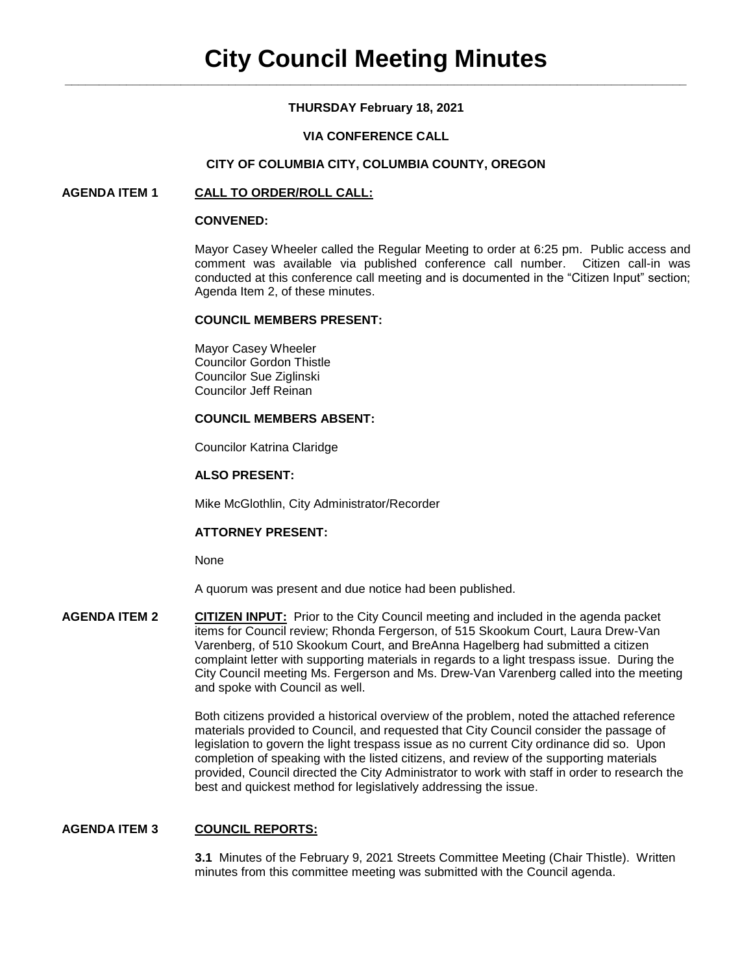# **THURSDAY February 18, 2021**

# **VIA CONFERENCE CALL**

## **CITY OF COLUMBIA CITY, COLUMBIA COUNTY, OREGON**

# **AGENDA ITEM 1 CALL TO ORDER/ROLL CALL:**

#### **CONVENED:**

Mayor Casey Wheeler called the Regular Meeting to order at 6:25 pm. Public access and comment was available via published conference call number. Citizen call-in was conducted at this conference call meeting and is documented in the "Citizen Input" section; Agenda Item 2, of these minutes.

## **COUNCIL MEMBERS PRESENT:**

Mayor Casey Wheeler Councilor Gordon Thistle Councilor Sue Ziglinski Councilor Jeff Reinan

# **COUNCIL MEMBERS ABSENT:**

Councilor Katrina Claridge

#### **ALSO PRESENT:**

Mike McGlothlin, City Administrator/Recorder

#### **ATTORNEY PRESENT:**

None

A quorum was present and due notice had been published.

**AGENDA ITEM 2 CITIZEN INPUT:** Prior to the City Council meeting and included in the agenda packet items for Council review; Rhonda Fergerson, of 515 Skookum Court, Laura Drew-Van Varenberg, of 510 Skookum Court, and BreAnna Hagelberg had submitted a citizen complaint letter with supporting materials in regards to a light trespass issue. During the City Council meeting Ms. Fergerson and Ms. Drew-Van Varenberg called into the meeting and spoke with Council as well.

> Both citizens provided a historical overview of the problem, noted the attached reference materials provided to Council, and requested that City Council consider the passage of legislation to govern the light trespass issue as no current City ordinance did so. Upon completion of speaking with the listed citizens, and review of the supporting materials provided, Council directed the City Administrator to work with staff in order to research the best and quickest method for legislatively addressing the issue.

## **AGENDA ITEM 3 COUNCIL REPORTS:**

 **3.1** Minutes of the February 9, 2021 Streets Committee Meeting (Chair Thistle). Written minutes from this committee meeting was submitted with the Council agenda.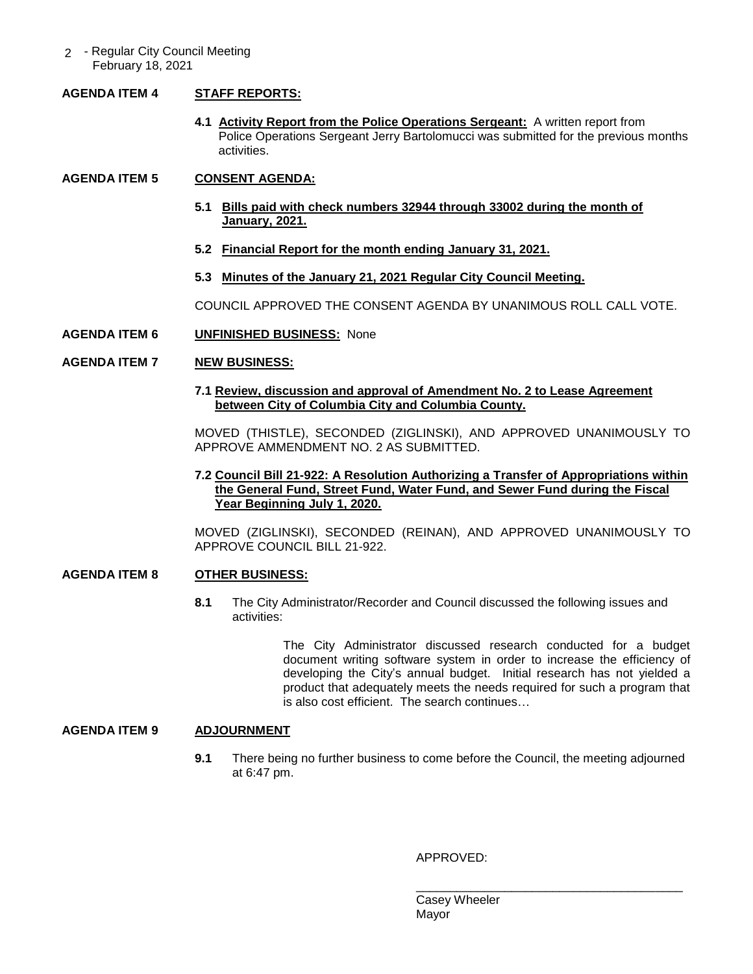2 - Regular City Council Meeting February 18, 2021

# **AGENDA ITEM 4 STAFF REPORTS:**

**4.1 Activity Report from the Police Operations Sergeant:** A written report from Police Operations Sergeant Jerry Bartolomucci was submitted for the previous months activities.

# **AGENDA ITEM 5 CONSENT AGENDA:**

- **5.1 Bills paid with check numbers 32944 through 33002 during the month of January, 2021.**
- **5.2 Financial Report for the month ending January 31, 2021.**
- **5.3 Minutes of the January 21, 2021 Regular City Council Meeting.**

COUNCIL APPROVED THE CONSENT AGENDA BY UNANIMOUS ROLL CALL VOTE.

**AGENDA ITEM 6 UNFINISHED BUSINESS:** None

# **AGENDA ITEM 7 NEW BUSINESS:**

**7.1 Review, discussion and approval of Amendment No. 2 to Lease Agreement between City of Columbia City and Columbia County.**

MOVED (THISTLE), SECONDED (ZIGLINSKI), AND APPROVED UNANIMOUSLY TO APPROVE AMMENDMENT NO. 2 AS SUBMITTED.

# **7.2 Council Bill 21-922: A Resolution Authorizing a Transfer of Appropriations within the General Fund, Street Fund, Water Fund, and Sewer Fund during the Fiscal Year Beginning July 1, 2020.**

MOVED (ZIGLINSKI), SECONDED (REINAN), AND APPROVED UNANIMOUSLY TO APPROVE COUNCIL BILL 21-922.

# **AGENDA ITEM 8 OTHER BUSINESS:**

**8.1** The City Administrator/Recorder and Council discussed the following issues and activities:

> The City Administrator discussed research conducted for a budget document writing software system in order to increase the efficiency of developing the City's annual budget. Initial research has not yielded a product that adequately meets the needs required for such a program that is also cost efficient. The search continues…

# **AGENDA ITEM 9 ADJOURNMENT**

**9.1** There being no further business to come before the Council, the meeting adjourned at 6:47 pm.

#### APPROVED:

\_\_\_\_\_\_\_\_\_\_\_\_\_\_\_\_\_\_\_\_\_\_\_\_\_\_\_\_\_\_\_\_\_\_\_\_\_\_\_